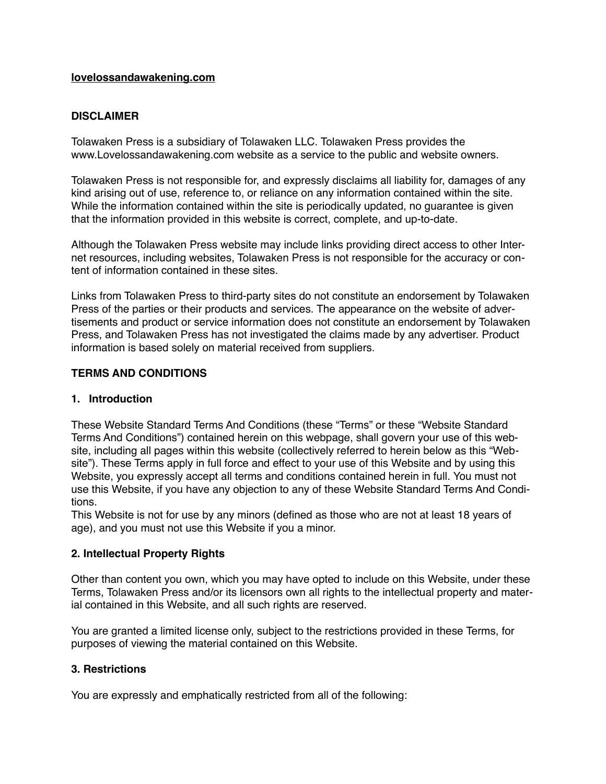#### **[lovelossandawakening.com](http://lovelossandawakening.com)**

### **DISCLAIMER**

Tolawaken Press is a subsidiary of Tolawaken LLC. Tolawaken Press provides the www.Lovelossandawakening.com website as a service to the public and website owners.

Tolawaken Press is not responsible for, and expressly disclaims all liability for, damages of any kind arising out of use, reference to, or reliance on any information contained within the site. While the information contained within the site is periodically updated, no guarantee is given that the information provided in this website is correct, complete, and up-to-date.

Although the Tolawaken Press website may include links providing direct access to other Internet resources, including websites, Tolawaken Press is not responsible for the accuracy or content of information contained in these sites.

Links from Tolawaken Press to third-party sites do not constitute an endorsement by Tolawaken Press of the parties or their products and services. The appearance on the website of advertisements and product or service information does not constitute an endorsement by Tolawaken Press, and Tolawaken Press has not investigated the claims made by any advertiser. Product information is based solely on material received from suppliers.

### **TERMS AND CONDITIONS**

### **1. Introduction**

These Website Standard Terms And Conditions (these "Terms" or these "Website Standard Terms And Conditions") contained herein on this webpage, shall govern your use of this website, including all pages within this website (collectively referred to herein below as this "Website"). These Terms apply in full force and effect to your use of this Website and by using this Website, you expressly accept all terms and conditions contained herein in full. You must not use this Website, if you have any objection to any of these Website Standard Terms And Conditions.

This Website is not for use by any minors (defined as those who are not at least 18 years of age), and you must not use this Website if you a minor.

### **2. Intellectual Property Rights**

Other than content you own, which you may have opted to include on this Website, under these Terms, Tolawaken Press and/or its licensors own all rights to the intellectual property and material contained in this Website, and all such rights are reserved.

You are granted a limited license only, subject to the restrictions provided in these Terms, for purposes of viewing the material contained on this Website.

### **3. Restrictions**

You are expressly and emphatically restricted from all of the following: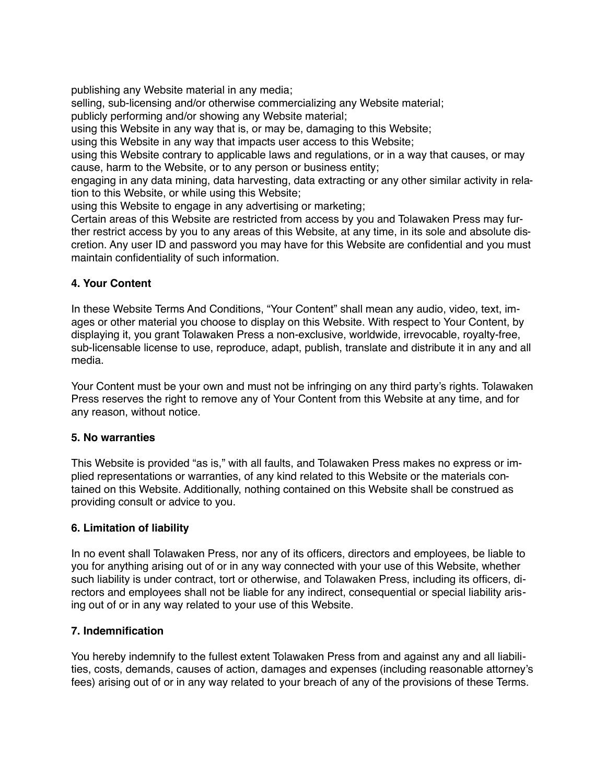publishing any Website material in any media;

selling, sub-licensing and/or otherwise commercializing any Website material;

publicly performing and/or showing any Website material;

using this Website in any way that is, or may be, damaging to this Website;

using this Website in any way that impacts user access to this Website;

using this Website contrary to applicable laws and regulations, or in a way that causes, or may cause, harm to the Website, or to any person or business entity;

engaging in any data mining, data harvesting, data extracting or any other similar activity in relation to this Website, or while using this Website;

using this Website to engage in any advertising or marketing;

Certain areas of this Website are restricted from access by you and Tolawaken Press may further restrict access by you to any areas of this Website, at any time, in its sole and absolute discretion. Any user ID and password you may have for this Website are confidential and you must maintain confidentiality of such information.

# **4. Your Content**

In these Website Terms And Conditions, "Your Content" shall mean any audio, video, text, images or other material you choose to display on this Website. With respect to Your Content, by displaying it, you grant Tolawaken Press a non-exclusive, worldwide, irrevocable, royalty-free, sub-licensable license to use, reproduce, adapt, publish, translate and distribute it in any and all media.

Your Content must be your own and must not be infringing on any third party's rights. Tolawaken Press reserves the right to remove any of Your Content from this Website at any time, and for any reason, without notice.

# **5. No warranties**

This Website is provided "as is," with all faults, and Tolawaken Press makes no express or implied representations or warranties, of any kind related to this Website or the materials contained on this Website. Additionally, nothing contained on this Website shall be construed as providing consult or advice to you.

# **6. Limitation of liability**

In no event shall Tolawaken Press, nor any of its officers, directors and employees, be liable to you for anything arising out of or in any way connected with your use of this Website, whether such liability is under contract, tort or otherwise, and Tolawaken Press, including its officers, directors and employees shall not be liable for any indirect, consequential or special liability arising out of or in any way related to your use of this Website.

# **7. Indemnification**

You hereby indemnify to the fullest extent Tolawaken Press from and against any and all liabilities, costs, demands, causes of action, damages and expenses (including reasonable attorney's fees) arising out of or in any way related to your breach of any of the provisions of these Terms.